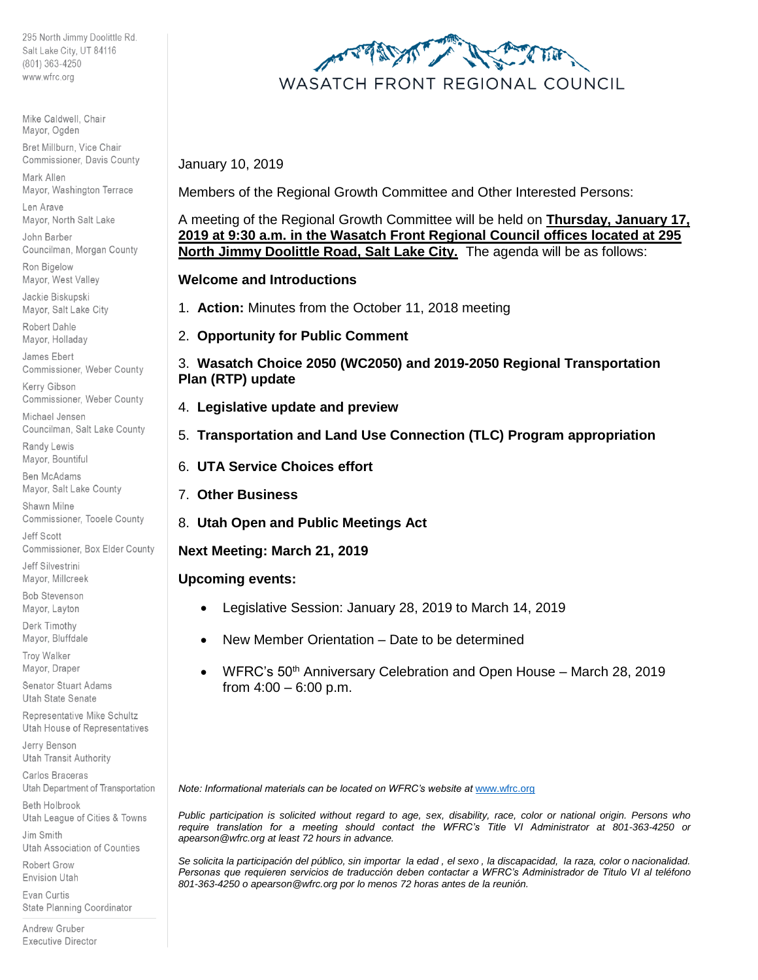295 North Jimmy Doolittle Rd. Salt Lake City, UT 84116 (801) 363-4250 www.wfrc.org

Mike Caldwell, Chair Mayor, Ogden

Bret Millburn, Vice Chair Commissioner, Davis County

Mark Allen Mayor, Washington Terrace

Len Arave Mayor, North Salt Lake

John Barber Councilman, Morgan County

Ron Bigelow Mayor, West Valley

Jackie Biskupski Mayor, Salt Lake City

Robert Dahle Mayor, Holladay

James Ebert Commissioner, Weber County

Kerry Gibson Commissioner, Weber County

Michael Jensen Councilman, Salt Lake County

Randy Lewis Mayor, Bountiful

**Ben McAdams** Mayor, Salt Lake County

Shawn Milne Commissioner, Tooele County

Jeff Scott Commissioner, Box Elder County

Jeff Silvestrini Mayor, Millcreek

**Bob Stevenson** Mayor, Layton

Derk Timothy Mayor, Bluffdale

Troy Walker Mayor, Draper

Senator Stuart Adams Utah State Senate

Representative Mike Schultz Utah House of Representatives

Jerry Benson **Utah Transit Authority** 

Carlos Braceras Utah Department of Transportation

Beth Holbrook Utah League of Cities & Towns

Jim Smith Utah Association of Counties

Robert Grow Envision Utah

Evan Curtis State Planning Coordinator

Andrew Gruber **Executive Director** 



January 10, 2019

Members of the Regional Growth Committee and Other Interested Persons:

A meeting of the Regional Growth Committee will be held on **Thursday, January 17, 2019 at 9:30 a.m. in the Wasatch Front Regional Council offices located at 295 North Jimmy Doolittle Road, Salt Lake City.** The agenda will be as follows:

**Welcome and Introductions**

- 1. **Action:** Minutes from the October 11, 2018 meeting
- 2. **Opportunity for Public Comment**

3. **Wasatch Choice 2050 (WC2050) and 2019-2050 Regional Transportation Plan (RTP) update**

- 4. **Legislative update and preview**
- 5. **Transportation and Land Use Connection (TLC) Program appropriation**
- 6. **UTA Service Choices effort**
- 7. **Other Business**
- 8. **Utah Open and Public Meetings Act**

**Next Meeting: March 21, 2019**

# **Upcoming events:**

- Legislative Session: January 28, 2019 to March 14, 2019
- New Member Orientation Date to be determined
- WFRC's 50th Anniversary Celebration and Open House March 28, 2019 from  $4:00 - 6:00$  p.m.

*Note: Informational materials can be located on WFRC's website at [www.wfrc.org](http://www.wfrc.org/)* 

*Public participation is solicited without regard to age, sex, disability, race, color or national origin. Persons who require translation for a meeting should contact the WFRC's Title VI Administrator at 801-363-4250 or apearson@wfrc.org at least 72 hours in advance.*

*Se solicita la participación del público, sin importar la edad , el sexo , la discapacidad, la raza, color o nacionalidad. Personas que requieren servicios de traducción deben contactar a WFRC's Administrador de Titulo VI al teléfono 801-363-4250 o apearson@wfrc.org por lo menos 72 horas antes de la reunión.*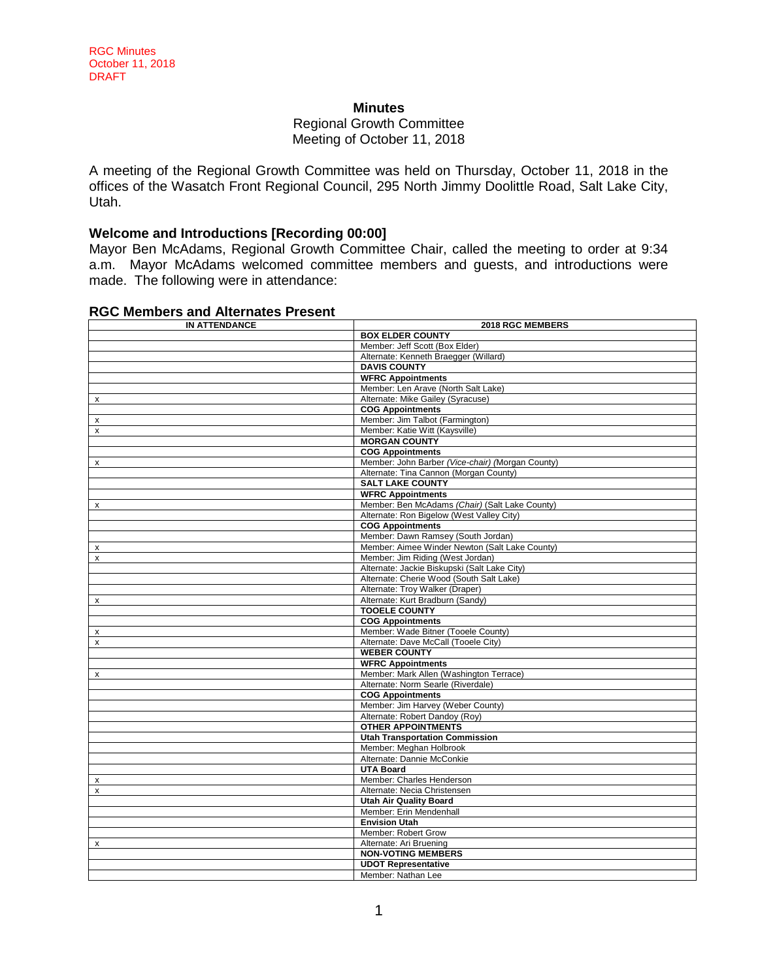#### **Minutes**

#### Regional Growth Committee Meeting of October 11, 2018

A meeting of the Regional Growth Committee was held on Thursday, October 11, 2018 in the offices of the Wasatch Front Regional Council, 295 North Jimmy Doolittle Road, Salt Lake City, Utah.

## **Welcome and Introductions [Recording 00:00]**

Mayor Ben McAdams, Regional Growth Committee Chair, called the meeting to order at 9:34 a.m. Mayor McAdams welcomed committee members and guests, and introductions were made. The following were in attendance:

#### **RGC Members and Alternates Present**

| <b>IN ATTENDANCE</b> | 2018 RGC MEMBERS                                 |
|----------------------|--------------------------------------------------|
|                      | <b>BOX ELDER COUNTY</b>                          |
|                      | Member: Jeff Scott (Box Elder)                   |
|                      | Alternate: Kenneth Braegger (Willard)            |
|                      | <b>DAVIS COUNTY</b>                              |
|                      | <b>WFRC Appointments</b>                         |
|                      | Member: Len Arave (North Salt Lake)              |
| $\pmb{\times}$       | Alternate: Mike Gailey (Syracuse)                |
|                      | <b>COG Appointments</b>                          |
| x                    | Member: Jim Talbot (Farmington)                  |
| X                    | Member: Katie Witt (Kaysville)                   |
|                      | <b>MORGAN COUNTY</b>                             |
|                      | <b>COG Appointments</b>                          |
| $\pmb{\times}$       | Member: John Barber (Vice-chair) (Morgan County) |
|                      | Alternate: Tina Cannon (Morgan County)           |
|                      | <b>SALT LAKE COUNTY</b>                          |
|                      | <b>WFRC Appointments</b>                         |
| X                    | Member: Ben McAdams (Chair) (Salt Lake County)   |
|                      | Alternate: Ron Bigelow (West Valley City)        |
|                      | <b>COG Appointments</b>                          |
|                      | Member: Dawn Ramsey (South Jordan)               |
| x                    | Member: Aimee Winder Newton (Salt Lake County)   |
| x                    | Member: Jim Riding (West Jordan)                 |
|                      | Alternate: Jackie Biskupski (Salt Lake City)     |
|                      | Alternate: Cherie Wood (South Salt Lake)         |
|                      | Alternate: Troy Walker (Draper)                  |
| x                    | Alternate: Kurt Bradburn (Sandy)                 |
|                      | <b>TOOELE COUNTY</b>                             |
|                      | <b>COG Appointments</b>                          |
| x                    | Member: Wade Bitner (Tooele County)              |
| $\pmb{\times}$       | Alternate: Dave McCall (Tooele City)             |
|                      | <b>WEBER COUNTY</b>                              |
|                      | <b>WFRC Appointments</b>                         |
| x                    | Member: Mark Allen (Washington Terrace)          |
|                      | Alternate: Norm Searle (Riverdale)               |
|                      | <b>COG Appointments</b>                          |
|                      | Member: Jim Harvey (Weber County)                |
|                      | Alternate: Robert Dandoy (Roy)                   |
|                      | <b>OTHER APPOINTMENTS</b>                        |
|                      | <b>Utah Transportation Commission</b>            |
|                      | Member: Meghan Holbrook                          |
|                      | Alternate: Dannie McConkie                       |
|                      | <b>UTA Board</b>                                 |
| x                    | Member: Charles Henderson                        |
| X                    | Alternate: Necia Christensen                     |
|                      | <b>Utah Air Quality Board</b>                    |
|                      | Member: Erin Mendenhall                          |
|                      | <b>Envision Utah</b>                             |
|                      | Member: Robert Grow                              |
| x                    | Alternate: Ari Bruening                          |
|                      | <b>NON-VOTING MEMBERS</b>                        |
|                      | <b>UDOT Representative</b>                       |
|                      | Member: Nathan Lee                               |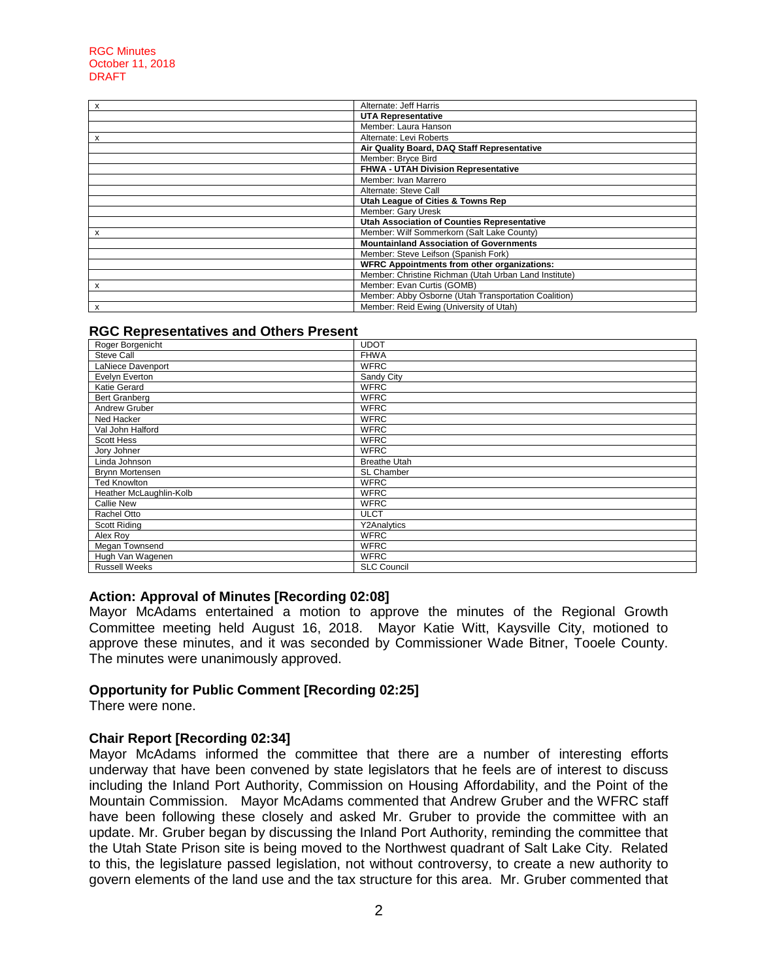#### RGC Minutes October 11, 2018 DRAFT

| x | Alternate: Jeff Harris                                |
|---|-------------------------------------------------------|
|   | <b>UTA Representative</b>                             |
|   | Member: Laura Hanson                                  |
| x | Alternate: Levi Roberts                               |
|   | Air Quality Board, DAQ Staff Representative           |
|   | Member: Bryce Bird                                    |
|   | FHWA - UTAH Division Representative                   |
|   | Member: Ivan Marrero                                  |
|   | Alternate: Steve Call                                 |
|   | Utah League of Cities & Towns Rep                     |
|   | Member: Gary Uresk                                    |
|   | Utah Association of Counties Representative           |
| x | Member: Wilf Sommerkorn (Salt Lake County)            |
|   | <b>Mountainland Association of Governments</b>        |
|   | Member: Steve Leifson (Spanish Fork)                  |
|   | <b>WFRC Appointments from other organizations:</b>    |
|   | Member: Christine Richman (Utah Urban Land Institute) |
| X | Member: Evan Curtis (GOMB)                            |
|   | Member: Abby Osborne (Utah Transportation Coalition)  |
| x | Member: Reid Ewing (University of Utah)               |

#### **RGC Representatives and Others Present**

| Roger Borgenicht        | <b>UDOT</b>         |
|-------------------------|---------------------|
| Steve Call              | <b>FHWA</b>         |
| LaNiece Davenport       | <b>WFRC</b>         |
| Evelyn Everton          | Sandy City          |
| Katie Gerard            | <b>WFRC</b>         |
| Bert Granberg           | <b>WFRC</b>         |
| Andrew Gruber           | <b>WFRC</b>         |
| Ned Hacker              | <b>WFRC</b>         |
| Val John Halford        | <b>WFRC</b>         |
| Scott Hess              | <b>WFRC</b>         |
| Jory Johner             | <b>WFRC</b>         |
| Linda Johnson           | <b>Breathe Utah</b> |
| Brynn Mortensen         | <b>SL Chamber</b>   |
| <b>Ted Knowlton</b>     | <b>WFRC</b>         |
| Heather McLaughlin-Kolb | <b>WFRC</b>         |
| <b>Callie New</b>       | <b>WFRC</b>         |
| Rachel Otto             | <b>ULCT</b>         |
| Scott Riding            | Y2Analytics         |
| Alex Roy                | <b>WFRC</b>         |
| Megan Townsend          | <b>WFRC</b>         |
| Hugh Van Wagenen        | <b>WFRC</b>         |
| <b>Russell Weeks</b>    | <b>SLC Council</b>  |

#### **Action: Approval of Minutes [Recording 02:08]**

Mayor McAdams entertained a motion to approve the minutes of the Regional Growth Committee meeting held August 16, 2018. Mayor Katie Witt, Kaysville City, motioned to approve these minutes, and it was seconded by Commissioner Wade Bitner, Tooele County. The minutes were unanimously approved.

## **Opportunity for Public Comment [Recording 02:25]**

There were none.

#### **Chair Report [Recording 02:34]**

Mayor McAdams informed the committee that there are a number of interesting efforts underway that have been convened by state legislators that he feels are of interest to discuss including the Inland Port Authority, Commission on Housing Affordability, and the Point of the Mountain Commission. Mayor McAdams commented that Andrew Gruber and the WFRC staff have been following these closely and asked Mr. Gruber to provide the committee with an update. Mr. Gruber began by discussing the Inland Port Authority, reminding the committee that the Utah State Prison site is being moved to the Northwest quadrant of Salt Lake City. Related to this, the legislature passed legislation, not without controversy, to create a new authority to govern elements of the land use and the tax structure for this area. Mr. Gruber commented that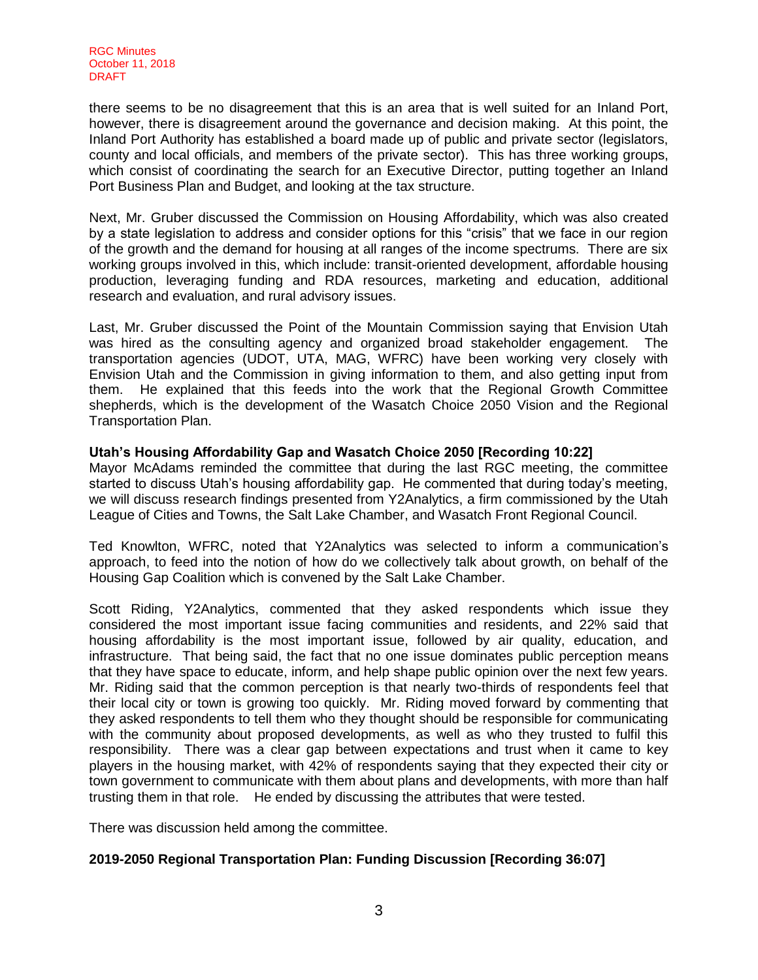there seems to be no disagreement that this is an area that is well suited for an Inland Port, however, there is disagreement around the governance and decision making. At this point, the Inland Port Authority has established a board made up of public and private sector (legislators, county and local officials, and members of the private sector). This has three working groups, which consist of coordinating the search for an Executive Director, putting together an Inland Port Business Plan and Budget, and looking at the tax structure.

Next, Mr. Gruber discussed the Commission on Housing Affordability, which was also created by a state legislation to address and consider options for this "crisis" that we face in our region of the growth and the demand for housing at all ranges of the income spectrums. There are six working groups involved in this, which include: transit-oriented development, affordable housing production, leveraging funding and RDA resources, marketing and education, additional research and evaluation, and rural advisory issues.

Last, Mr. Gruber discussed the Point of the Mountain Commission saying that Envision Utah was hired as the consulting agency and organized broad stakeholder engagement. The transportation agencies (UDOT, UTA, MAG, WFRC) have been working very closely with Envision Utah and the Commission in giving information to them, and also getting input from them. He explained that this feeds into the work that the Regional Growth Committee shepherds, which is the development of the Wasatch Choice 2050 Vision and the Regional Transportation Plan.

## **Utah's Housing Affordability Gap and Wasatch Choice 2050 [Recording 10:22]**

Mayor McAdams reminded the committee that during the last RGC meeting, the committee started to discuss Utah's housing affordability gap. He commented that during today's meeting, we will discuss research findings presented from Y2Analytics, a firm commissioned by the Utah League of Cities and Towns, the Salt Lake Chamber, and Wasatch Front Regional Council.

Ted Knowlton, WFRC, noted that Y2Analytics was selected to inform a communication's approach, to feed into the notion of how do we collectively talk about growth, on behalf of the Housing Gap Coalition which is convened by the Salt Lake Chamber.

Scott Riding, Y2Analytics, commented that they asked respondents which issue they considered the most important issue facing communities and residents, and 22% said that housing affordability is the most important issue, followed by air quality, education, and infrastructure. That being said, the fact that no one issue dominates public perception means that they have space to educate, inform, and help shape public opinion over the next few years. Mr. Riding said that the common perception is that nearly two-thirds of respondents feel that their local city or town is growing too quickly. Mr. Riding moved forward by commenting that they asked respondents to tell them who they thought should be responsible for communicating with the community about proposed developments, as well as who they trusted to fulfil this responsibility. There was a clear gap between expectations and trust when it came to key players in the housing market, with 42% of respondents saying that they expected their city or town government to communicate with them about plans and developments, with more than half trusting them in that role. He ended by discussing the attributes that were tested.

There was discussion held among the committee.

## **2019-2050 Regional Transportation Plan: Funding Discussion [Recording 36:07]**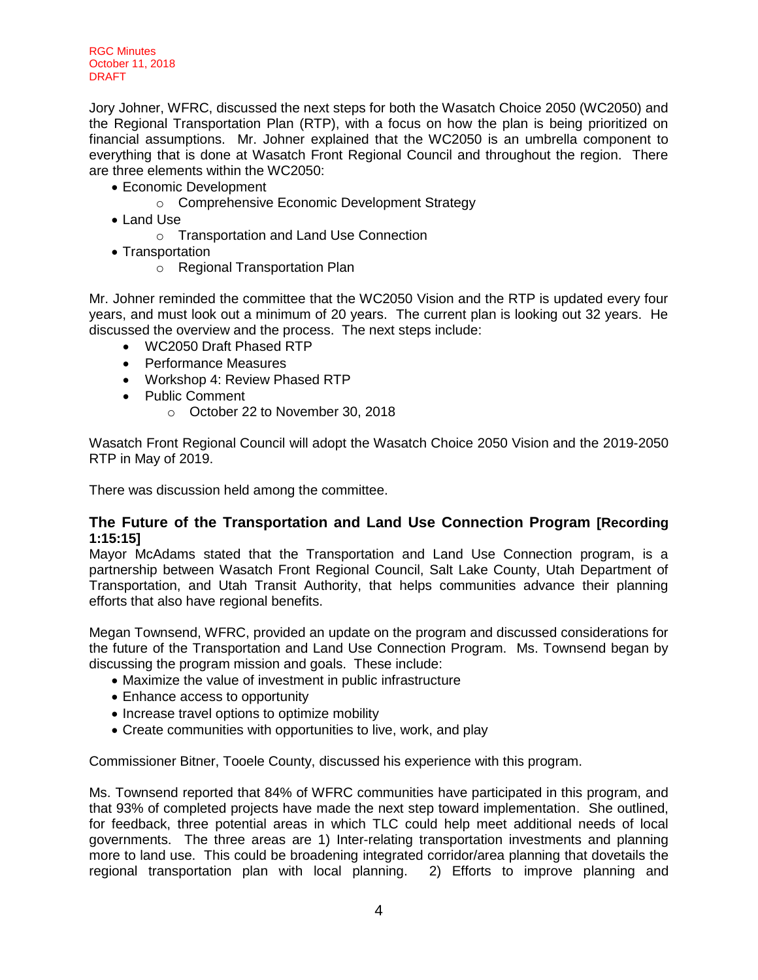RGC Minutes October 11, 2018 DRAFT

Jory Johner, WFRC, discussed the next steps for both the Wasatch Choice 2050 (WC2050) and the Regional Transportation Plan (RTP), with a focus on how the plan is being prioritized on financial assumptions. Mr. Johner explained that the WC2050 is an umbrella component to everything that is done at Wasatch Front Regional Council and throughout the region. There are three elements within the WC2050:

- Economic Development
	- o Comprehensive Economic Development Strategy
- Land Use
	- o Transportation and Land Use Connection
- Transportation
	- o Regional Transportation Plan

Mr. Johner reminded the committee that the WC2050 Vision and the RTP is updated every four years, and must look out a minimum of 20 years. The current plan is looking out 32 years. He discussed the overview and the process. The next steps include:

- WC2050 Draft Phased RTP
- Performance Measures
- Workshop 4: Review Phased RTP
- Public Comment
	- o October 22 to November 30, 2018

Wasatch Front Regional Council will adopt the Wasatch Choice 2050 Vision and the 2019-2050 RTP in May of 2019.

There was discussion held among the committee.

## **The Future of the Transportation and Land Use Connection Program [Recording 1:15:15]**

Mayor McAdams stated that the Transportation and Land Use Connection program, is a partnership between Wasatch Front Regional Council, Salt Lake County, Utah Department of Transportation, and Utah Transit Authority, that helps communities advance their planning efforts that also have regional benefits.

Megan Townsend, WFRC, provided an update on the program and discussed considerations for the future of the Transportation and Land Use Connection Program. Ms. Townsend began by discussing the program mission and goals. These include:

- Maximize the value of investment in public infrastructure
- Enhance access to opportunity
- Increase travel options to optimize mobility
- Create communities with opportunities to live, work, and play

Commissioner Bitner, Tooele County, discussed his experience with this program.

Ms. Townsend reported that 84% of WFRC communities have participated in this program, and that 93% of completed projects have made the next step toward implementation. She outlined, for feedback, three potential areas in which TLC could help meet additional needs of local governments. The three areas are 1) Inter-relating transportation investments and planning more to land use. This could be broadening integrated corridor/area planning that dovetails the regional transportation plan with local planning. 2) Efforts to improve planning and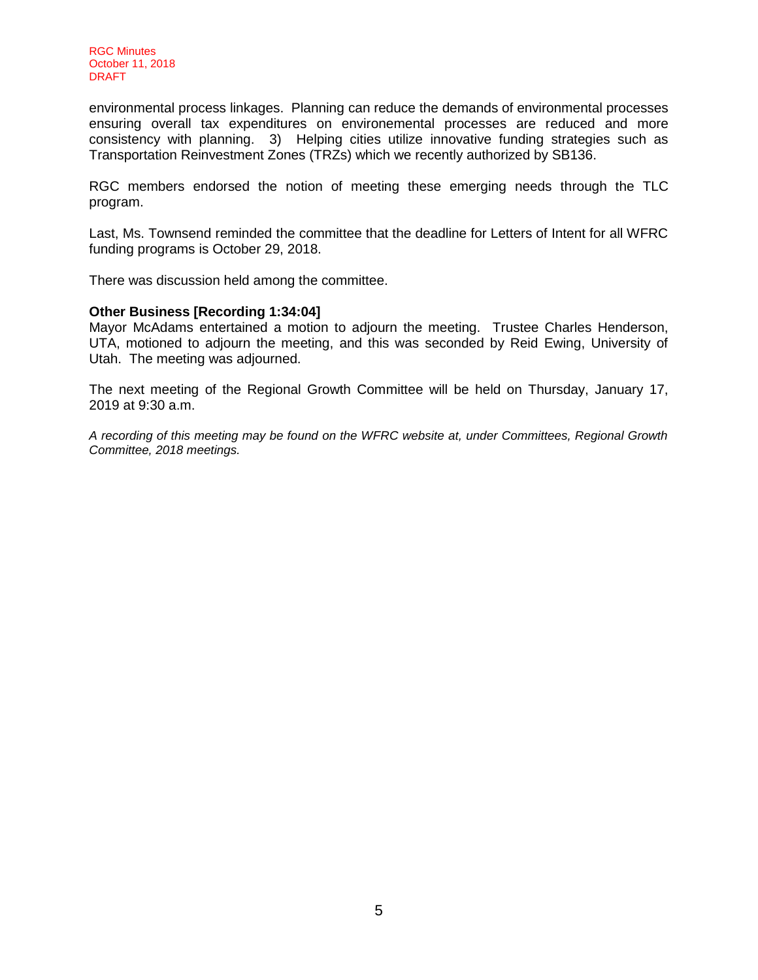environmental process linkages. Planning can reduce the demands of environmental processes ensuring overall tax expenditures on environemental processes are reduced and more consistency with planning. 3) Helping cities utilize innovative funding strategies such as Transportation Reinvestment Zones (TRZs) which we recently authorized by SB136.

RGC members endorsed the notion of meeting these emerging needs through the TLC program.

Last, Ms. Townsend reminded the committee that the deadline for Letters of Intent for all WFRC funding programs is October 29, 2018.

There was discussion held among the committee.

#### **Other Business [Recording 1:34:04]**

Mayor McAdams entertained a motion to adjourn the meeting. Trustee Charles Henderson, UTA, motioned to adjourn the meeting, and this was seconded by Reid Ewing, University of Utah. The meeting was adjourned.

The next meeting of the Regional Growth Committee will be held on Thursday, January 17, 2019 at 9:30 a.m.

*A recording of this meeting may be found on the WFRC website at, under Committees, Regional Growth Committee, 2018 meetings.*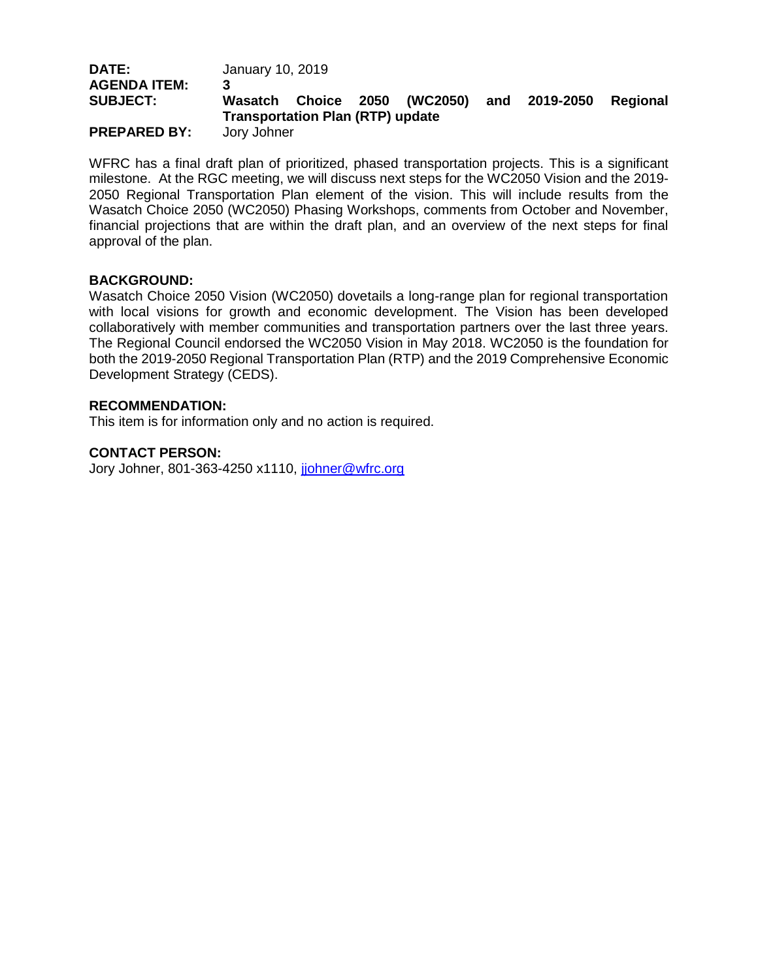| <b>DATE:</b>        | January 10, 2019                        |  |                             |     |           |          |
|---------------------|-----------------------------------------|--|-----------------------------|-----|-----------|----------|
| <b>AGENDA ITEM:</b> |                                         |  |                             |     |           |          |
| <b>SUBJECT:</b>     | Wasatch                                 |  | <b>Choice 2050 (WC2050)</b> | and | 2019-2050 | Regional |
|                     | <b>Transportation Plan (RTP) update</b> |  |                             |     |           |          |
| <b>PREPARED BY:</b> | Jory Johner                             |  |                             |     |           |          |

WFRC has a final draft plan of prioritized, phased transportation projects. This is a significant milestone. At the RGC meeting, we will discuss next steps for the WC2050 Vision and the 2019- 2050 Regional Transportation Plan element of the vision. This will include results from the Wasatch Choice 2050 (WC2050) Phasing Workshops, comments from October and November, financial projections that are within the draft plan, and an overview of the next steps for final approval of the plan.

#### **BACKGROUND:**

Wasatch Choice 2050 Vision (WC2050) dovetails a long-range plan for regional transportation with local visions for growth and economic development. The Vision has been developed collaboratively with member communities and transportation partners over the last three years. The Regional Council endorsed the WC2050 Vision in May 2018. WC2050 is the foundation for both the 2019-2050 Regional Transportation Plan (RTP) and the 2019 Comprehensive Economic Development Strategy (CEDS).

#### **RECOMMENDATION:**

This item is for information only and no action is required.

## **CONTACT PERSON:**

Jory Johner, 801-363-4250 x1110, johner@wfrc.org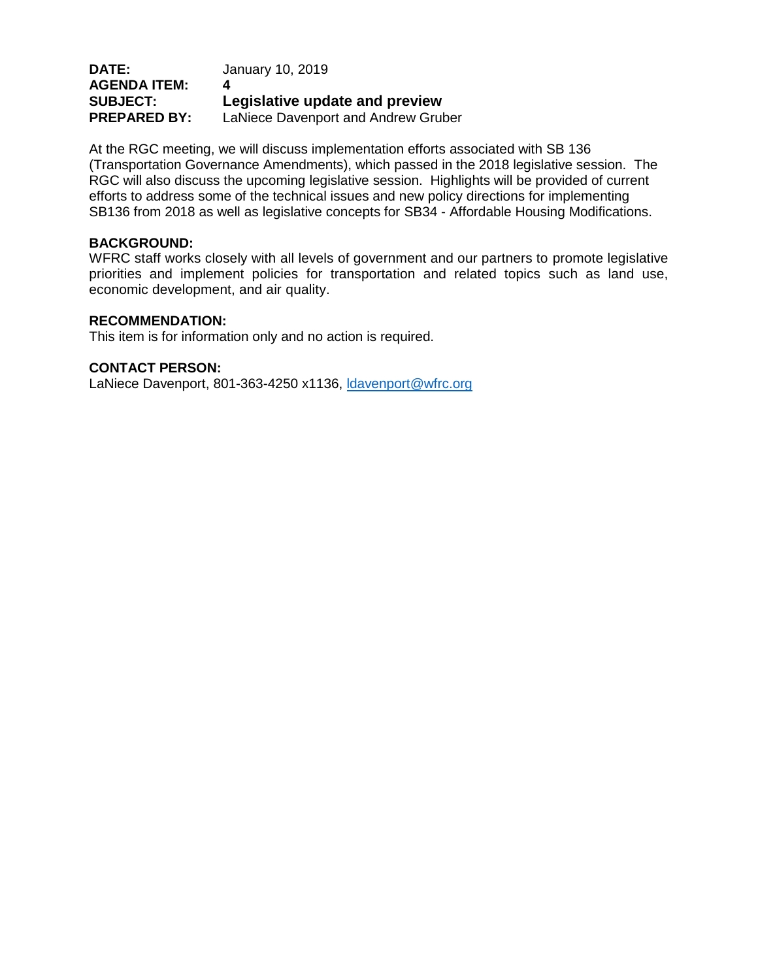## **DATE:** January 10, 2019 **AGENDA ITEM: 4 SUBJECT: Legislative update and preview PREPARED BY:** LaNiece Davenport and Andrew Gruber

At the RGC meeting, we will discuss implementation efforts associated with SB 136 (Transportation Governance Amendments), which passed in the 2018 legislative session. The RGC will also discuss the upcoming legislative session. Highlights will be provided of current efforts to address some of the technical issues and new policy directions for implementing SB136 from 2018 as well as legislative concepts for SB34 - Affordable Housing Modifications.

## **BACKGROUND:**

WFRC staff works closely with all levels of government and our partners to promote legislative priorities and implement policies for transportation and related topics such as land use, economic development, and air quality.

## **RECOMMENDATION:**

This item is for information only and no action is required.

## **CONTACT PERSON:**

LaNiece Davenport, 801-363-4250 x1136, Idavenport@wfrc.org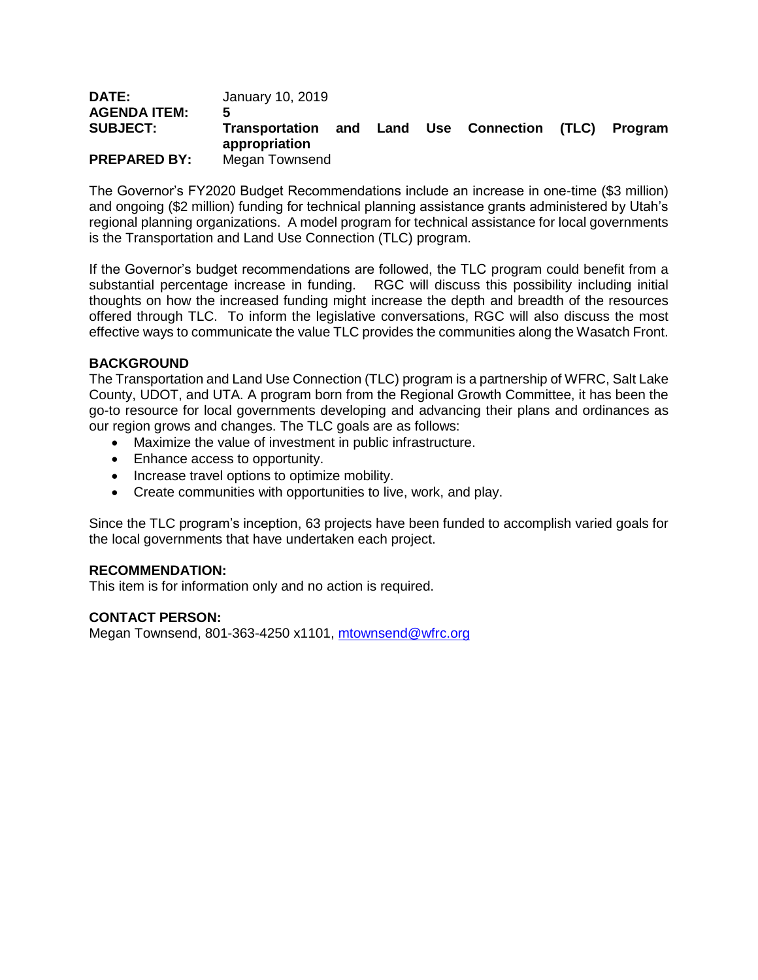| <b>DATE:</b>        | January 10, 2019                    |  |                           |         |
|---------------------|-------------------------------------|--|---------------------------|---------|
| <b>AGENDA ITEM:</b> | 5                                   |  |                           |         |
| <b>SUBJECT:</b>     | Transportation and<br>appropriation |  | Land Use Connection (TLC) | Program |
| <b>PREPARED BY:</b> | Megan Townsend                      |  |                           |         |

The Governor's FY2020 Budget Recommendations include an increase in one-time (\$3 million) and ongoing (\$2 million) funding for technical planning assistance grants administered by Utah's regional planning organizations. A model program for technical assistance for local governments is the Transportation and Land Use Connection (TLC) program.

If the Governor's budget recommendations are followed, the TLC program could benefit from a substantial percentage increase in funding. RGC will discuss this possibility including initial thoughts on how the increased funding might increase the depth and breadth of the resources offered through TLC. To inform the legislative conversations, RGC will also discuss the most effective ways to communicate the value TLC provides the communities along the Wasatch Front.

## **BACKGROUND**

The Transportation and Land Use Connection (TLC) program is a partnership of WFRC, Salt Lake County, UDOT, and UTA. A program born from the Regional Growth Committee, it has been the go-to resource for local governments developing and advancing their plans and ordinances as our region grows and changes. The TLC goals are as follows:

- Maximize the value of investment in public infrastructure.
- Enhance access to opportunity.
- Increase travel options to optimize mobility.
- Create communities with opportunities to live, work, and play.

Since the TLC program's inception, 63 projects have been funded to accomplish varied goals for the local governments that have undertaken each project.

#### **RECOMMENDATION:**

This item is for information only and no action is required.

## **CONTACT PERSON:**

Megan Townsend, 801-363-4250 x1101, [mtownsend@wfrc.org](mailto:mtownsend@wfrc.org)